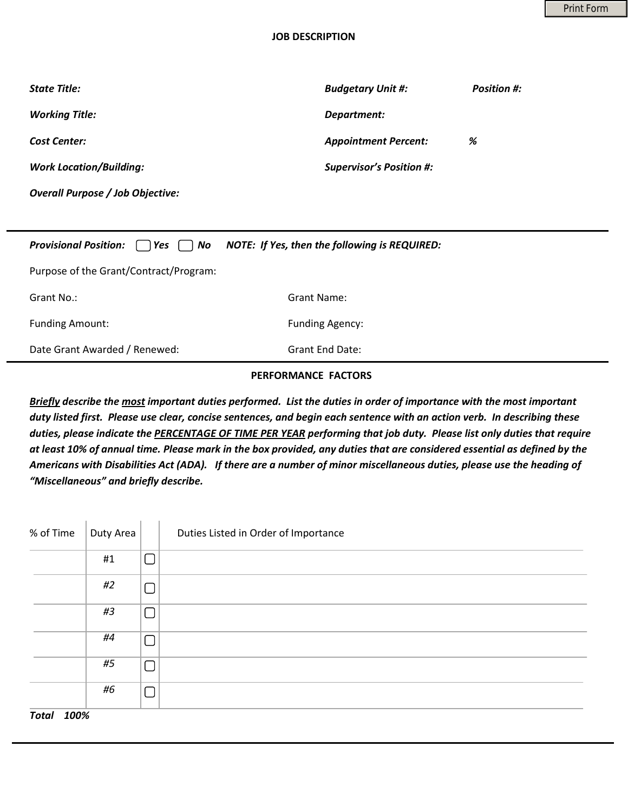Print Form

#### **JOB DESCRIPTION**

| <b>State Title:</b>                     | <b>Budgetary Unit #:</b>        | <b>Position #:</b> |
|-----------------------------------------|---------------------------------|--------------------|
| <b>Working Title:</b>                   | Department:                     |                    |
| <b>Cost Center:</b>                     | <b>Appointment Percent:</b>     | %                  |
| <b>Work Location/Building:</b>          | <b>Supervisor's Position #:</b> |                    |
| <b>Overall Purpose / Job Objective:</b> |                                 |                    |

| <b>Provisional Position:</b><br>$Yes \mid No$ | <b>NOTE:</b> If Yes, then the following is REQUIRED: |  |
|-----------------------------------------------|------------------------------------------------------|--|
| Purpose of the Grant/Contract/Program:        |                                                      |  |
| Grant No.:                                    | Grant Name:                                          |  |
| <b>Funding Amount:</b>                        | <b>Funding Agency:</b>                               |  |
| Date Grant Awarded / Renewed:                 | <b>Grant End Date:</b>                               |  |

## **PERFORMANCE FACTORS**

*Briefly describe the most important duties performed. List the duties in order of importance with the most important duty listed first. Please use clear, concise sentences, and begin each sentence with an action verb. In describing these duties, please indicate the PERCENTAGE OF TIME PER YEAR performing that job duty. Please list only duties that require at least 10% of annual time. Please mark in the box provided, any duties that are considered essential as defined by the Americans with Disabilities Act (ADA). If there are a number of minor miscellaneous duties, please use the heading of "Miscellaneous" and briefly describe.* 

| % of Time         | Duty Area |   | Duties Listed in Order of Importance |
|-------------------|-----------|---|--------------------------------------|
|                   | #1        | ∩ |                                      |
|                   | #2        | □ |                                      |
|                   | #3        | □ |                                      |
|                   | #4        | ∩ |                                      |
|                   | #5        | □ |                                      |
|                   | #6        | ∩ |                                      |
| <b>Total 100%</b> |           |   |                                      |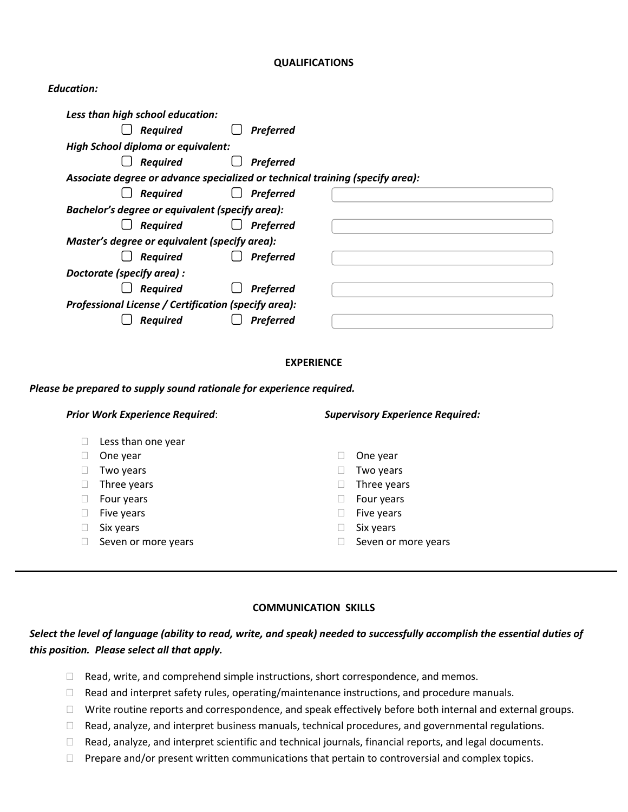#### **QUALIFICATIONS**

#### *Education:*

| Less than high school education:                     |                                                                               |  |  |  |
|------------------------------------------------------|-------------------------------------------------------------------------------|--|--|--|
| <b>Required</b>                                      | <b>Preferred</b>                                                              |  |  |  |
| High School diploma or equivalent:                   |                                                                               |  |  |  |
| <b>Required</b>                                      | <b>Preferred</b>                                                              |  |  |  |
|                                                      | Associate degree or advance specialized or technical training (specify area): |  |  |  |
| <b>Required</b>                                      | <b>Preferred</b>                                                              |  |  |  |
| Bachelor's degree or equivalent (specify area):      |                                                                               |  |  |  |
| <b>Required</b>                                      | <b>Preferred</b>                                                              |  |  |  |
|                                                      | Master's degree or equivalent (specify area):                                 |  |  |  |
| <b>Required</b>                                      | <b>Preferred</b>                                                              |  |  |  |
| Doctorate (specify area) :                           |                                                                               |  |  |  |
| <b>Required</b>                                      | <b>Preferred</b>                                                              |  |  |  |
| Professional License / Certification (specify area): |                                                                               |  |  |  |
| <b>Required</b>                                      | <b>Preferred</b>                                                              |  |  |  |

#### **EXPERIENCE**

*Please be prepared to supply sound rationale for experience required.*

| <b>Prior Work Experience Required:</b> | <b>Supervisory Experience Required:</b> |  |
|----------------------------------------|-----------------------------------------|--|
| Less than one year                     |                                         |  |
| One year                               | One year                                |  |
| Two years                              | Two years                               |  |
| Three years                            | Three years                             |  |
| Four years                             | Four years                              |  |
| Five years                             | Five years                              |  |
| Six years                              | Six years                               |  |
| Seven or more years                    | Seven or more years                     |  |

#### **COMMUNICATION SKILLS**

*Select the level of language (ability to read, write, and speak) needed to successfully accomplish the essential duties of this position. Please select all that apply.*

- $\Box$  Read, write, and comprehend simple instructions, short correspondence, and memos.
- $\Box$  Read and interpret safety rules, operating/maintenance instructions, and procedure manuals.
- Write routine reports and correspondence, and speak effectively before both internal and external groups.
- □ Read, analyze, and interpret business manuals, technical procedures, and governmental regulations.
- $\Box$  Read, analyze, and interpret scientific and technical journals, financial reports, and legal documents.
- $\Box$  Prepare and/or present written communications that pertain to controversial and complex topics.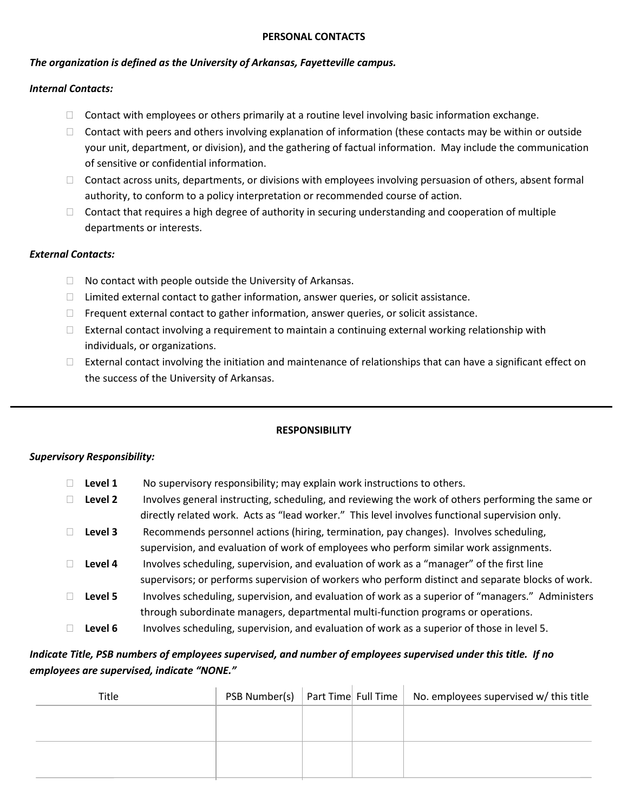#### **PERSONAL CONTACTS**

# *The organization is defined as the University of Arkansas, Fayetteville campus.*

# *Internal Contacts:*

- $\Box$  Contact with employees or others primarily at a routine level involving basic information exchange.
- $\Box$  Contact with peers and others involving explanation of information (these contacts may be within or outside your unit, department, or division), and the gathering of factual information. May include the communication of sensitive or confidential information.
- $\Box$  Contact across units, departments, or divisions with employees involving persuasion of others, absent formal authority, to conform to a policy interpretation or recommended course of action.
- $\Box$  Contact that requires a high degree of authority in securing understanding and cooperation of multiple departments or interests.

# *External Contacts:*

- $\Box$  No contact with people outside the University of Arkansas.
- $\Box$  Limited external contact to gather information, answer queries, or solicit assistance.
- $\Box$  Frequent external contact to gather information, answer queries, or solicit assistance.
- $\Box$  External contact involving a requirement to maintain a continuing external working relationship with individuals, or organizations.
- $\Box$  External contact involving the initiation and maintenance of relationships that can have a significant effect on the success of the University of Arkansas.

# **RESPONSIBILITY**

# *Supervisory Responsibility:*

| Level 1 | No supervisory responsibility; may explain work instructions to others.                           |
|---------|---------------------------------------------------------------------------------------------------|
| Level 2 | Involves general instructing, scheduling, and reviewing the work of others performing the same or |
|         | directly related work. Acts as "lead worker." This level involves functional supervision only.    |
| Level 3 | Recommends personnel actions (hiring, termination, pay changes). Involves scheduling,             |
|         | supervision, and evaluation of work of employees who perform similar work assignments.            |
| Level 4 | Involves scheduling, supervision, and evaluation of work as a "manager" of the first line         |
|         | supervisors; or performs supervision of workers who perform distinct and separate blocks of work. |
| Level 5 | Involves scheduling, supervision, and evaluation of work as a superior of "managers." Administers |
|         | through subordinate managers, departmental multi-function programs or operations.                 |
| Level 6 | Involves scheduling, supervision, and evaluation of work as a superior of those in level 5.       |

# *Indicate Title, PSB numbers of employees supervised, and number of employees supervised under this title. If no employees are supervised, indicate "NONE."*

| Title |  | <b>PSB Number(s)</b> $\vert$ Part Time Full Time $\vert$ No. employees supervised w/ this title |
|-------|--|-------------------------------------------------------------------------------------------------|
|       |  |                                                                                                 |
|       |  |                                                                                                 |
|       |  |                                                                                                 |
|       |  |                                                                                                 |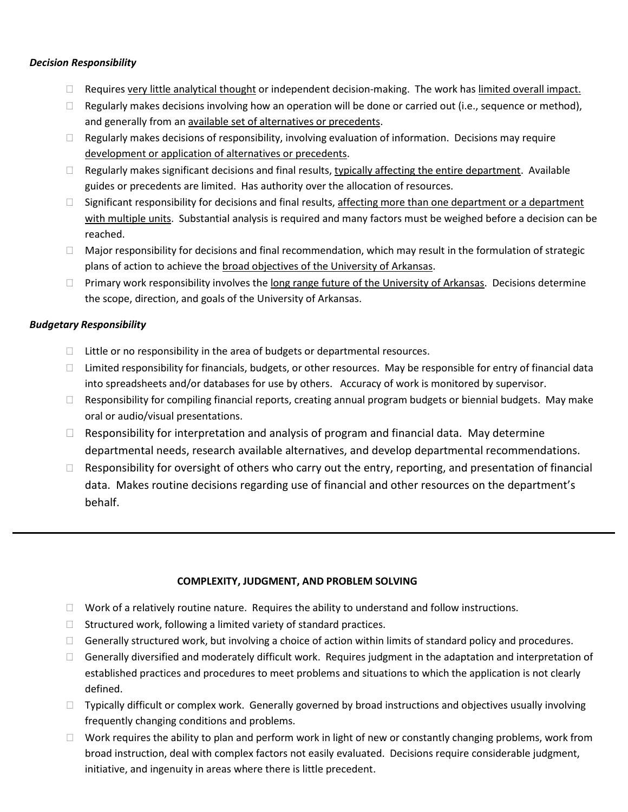# *Decision Responsibility*

- $\Box$  Requires very little analytical thought or independent decision-making. The work has limited overall impact.
- $\Box$  Regularly makes decisions involving how an operation will be done or carried out (i.e., sequence or method), and generally from an available set of alternatives or precedents.
- $\Box$  Regularly makes decisions of responsibility, involving evaluation of information. Decisions may require development or application of alternatives or precedents.
- $\Box$  Regularly makes significant decisions and final results, typically affecting the entire department. Available guides or precedents are limited. Has authority over the allocation of resources.
- $\square$  Significant responsibility for decisions and final results, affecting more than one department or a department with multiple units. Substantial analysis is required and many factors must be weighed before a decision can be reached.
- $\Box$  Major responsibility for decisions and final recommendation, which may result in the formulation of strategic plans of action to achieve the broad objectives of the University of Arkansas.
- $\Box$  Primary work responsibility involves the long range future of the University of Arkansas. Decisions determine the scope, direction, and goals of the University of Arkansas.

# *Budgetary Responsibility*

- $\Box$  Little or no responsibility in the area of budgets or departmental resources.
- $\Box$  Limited responsibility for financials, budgets, or other resources. May be responsible for entry of financial data into spreadsheets and/or databases for use by others. Accuracy of work is monitored by supervisor.
- $\Box$  Responsibility for compiling financial reports, creating annual program budgets or biennial budgets. May make oral or audio/visual presentations.
- $\Box$  Responsibility for interpretation and analysis of program and financial data. May determine departmental needs, research available alternatives, and develop departmental recommendations.
- $\Box$  Responsibility for oversight of others who carry out the entry, reporting, and presentation of financial data. Makes routine decisions regarding use of financial and other resources on the department's behalf.

## **COMPLEXITY, JUDGMENT, AND PROBLEM SOLVING**

- $\Box$  Work of a relatively routine nature. Requires the ability to understand and follow instructions.
- $\Box$  Structured work, following a limited variety of standard practices.
- $\Box$  Generally structured work, but involving a choice of action within limits of standard policy and procedures.
- $\Box$  Generally diversified and moderately difficult work. Requires judgment in the adaptation and interpretation of established practices and procedures to meet problems and situations to which the application is not clearly defined.
- $\Box$  Typically difficult or complex work. Generally governed by broad instructions and objectives usually involving frequently changing conditions and problems.
- $\Box$  Work requires the ability to plan and perform work in light of new or constantly changing problems, work from broad instruction, deal with complex factors not easily evaluated. Decisions require considerable judgment, initiative, and ingenuity in areas where there is little precedent.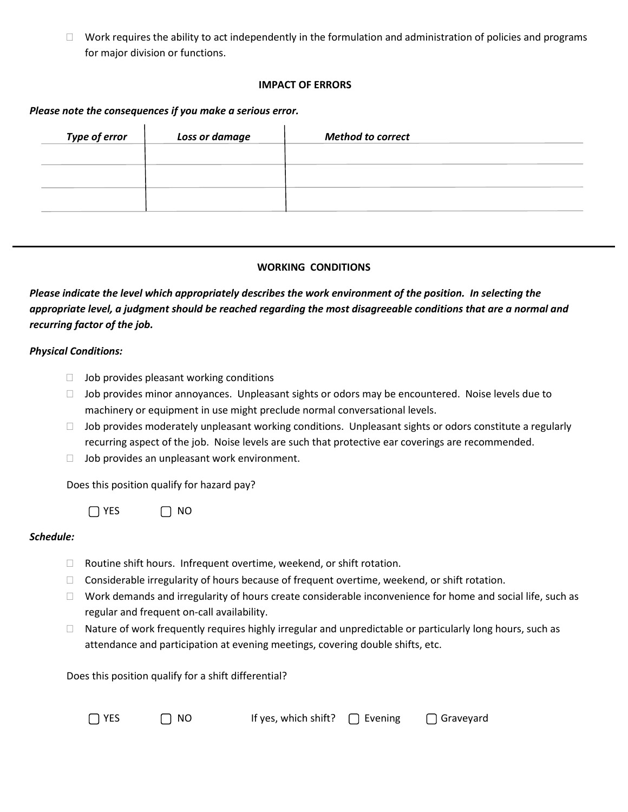$\Box$  Work requires the ability to act independently in the formulation and administration of policies and programs for major division or functions.

# **IMPACT OF ERRORS**

# *Please note the consequences if you make a serious error.*

| Type of error | Loss or damage | <b>Method to correct</b> |
|---------------|----------------|--------------------------|
|               |                |                          |
|               |                |                          |
|               |                |                          |
|               |                |                          |

## **WORKING CONDITIONS**

*Please indicate the level which appropriately describes the work environment of the position. In selecting the appropriate level, a judgment should be reached regarding the most disagreeable conditions that are a normal and recurring factor of the job.*

## *Physical Conditions:*

- $\Box$  Job provides pleasant working conditions
- $\Box$  Job provides minor annoyances. Unpleasant sights or odors may be encountered. Noise levels due to machinery or equipment in use might preclude normal conversational levels.
- $\Box$  Job provides moderately unpleasant working conditions. Unpleasant sights or odors constitute a regularly recurring aspect of the job. Noise levels are such that protective ear coverings are recommended.
- $\Box$  Job provides an unpleasant work environment.

 $\bigcap$  NO

Does this position qualify for hazard pay?

|  | M.<br>۰. |
|--|----------|
|--|----------|

## *Schedule:*

- □ Routine shift hours. Infrequent overtime, weekend, or shift rotation.
- $\Box$  Considerable irregularity of hours because of frequent overtime, weekend, or shift rotation.
- $\Box$  Work demands and irregularity of hours create considerable inconvenience for home and social life, such as regular and frequent on-call availability.
- $\Box$  Nature of work frequently requires highly irregular and unpredictable or particularly long hours, such as attendance and participation at evening meetings, covering double shifts, etc.

Does this position qualify for a shift differential?

| $\bigcap$ YES | $\Box$ NO | If yes, which shift? $\bigcap$ Evening | $\bigcap$ Graveyard |
|---------------|-----------|----------------------------------------|---------------------|
|               |           |                                        |                     |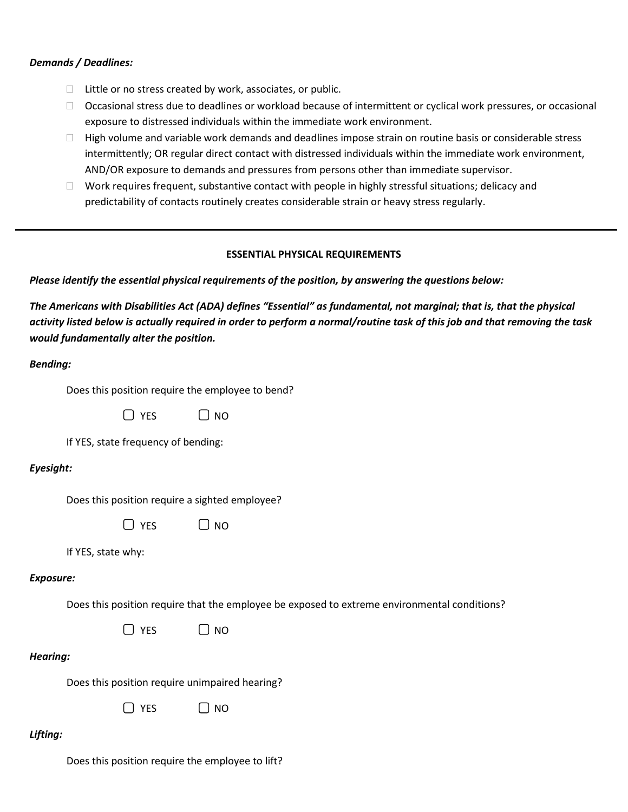## *Demands / Deadlines:*

- $\Box$  Little or no stress created by work, associates, or public.
- Occasional stress due to deadlines or workload because of intermittent or cyclical work pressures, or occasional exposure to distressed individuals within the immediate work environment.
- $\Box$  High volume and variable work demands and deadlines impose strain on routine basis or considerable stress intermittently; OR regular direct contact with distressed individuals within the immediate work environment, AND/OR exposure to demands and pressures from persons other than immediate supervisor.
- $\Box$  Work requires frequent, substantive contact with people in highly stressful situations; delicacy and predictability of contacts routinely creates considerable strain or heavy stress regularly.

#### **ESSENTIAL PHYSICAL REQUIREMENTS**

*Please identify the essential physical requirements of the position, by answering the questions below:*

*The Americans with Disabilities Act (ADA) defines "Essential" as fundamental, not marginal; that is, that the physical activity listed below is actually required in order to perform a normal/routine task of this job and that removing the task would fundamentally alter the position.*

#### *Bending:*

Does this position require the employee to bend?

 $\bigcap$  NO

| ×<br>۰.<br>۰ |  |
|--------------|--|
|--------------|--|

If YES, state frequency of bending:

## *Eyesight:*

Does this position require a sighted employee?

 $\Box$  YES  $\Box$  NO

If YES, state why:

## *Exposure:*

Does this position require that the employee be exposed to extreme environmental conditions?

 $\Box$  YES  $\Box$  NO

## *Hearing:*

Does this position require unimpaired hearing?

 $\Box$  YES  $\Box$  NO

## *Lifting:*

Does this position require the employee to lift?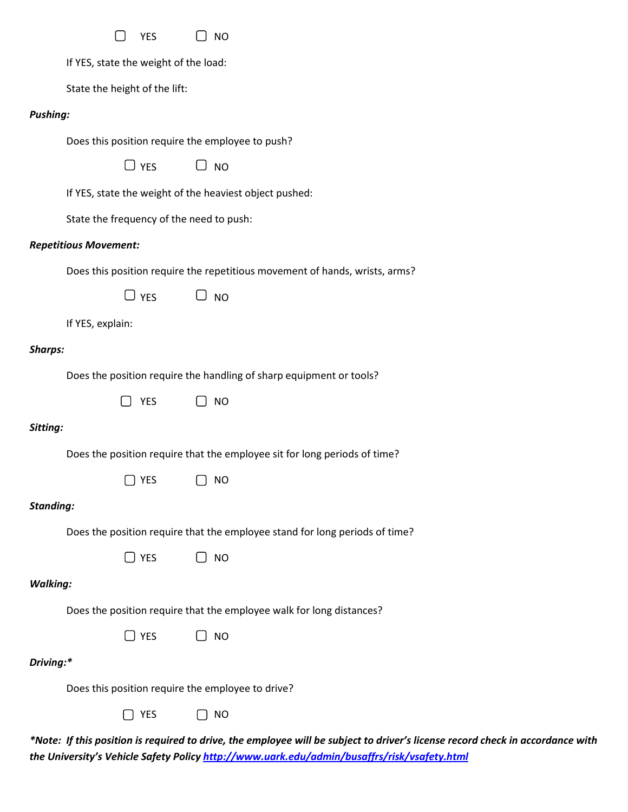| $\Box$ NO<br><b>YES</b> |  |
|-------------------------|--|
|-------------------------|--|

If YES, state the weight of the load:

State the height of the lift:

#### *Pushing:*

Does this position require the employee to push?

 $\Box$  YES  $\Box$  NO

If YES, state the weight of the heaviest object pushed:

State the frequency of the need to push:

#### *Repetitious Movement:*

Does this position require the repetitious movement of hands, wrists, arms?



If YES, explain:

## *Sharps:*

Does the position require the handling of sharp equipment or tools?

YES ONO

## *Sitting:*

Does the position require that the employee sit for long periods of time?

 $\Box$  YES  $\Box$  NO

#### *Standing:*

Does the position require that the employee stand for long periods of time?

 $\Box$  YES  $\Box$  NO

#### *Walking:*

Does the position require that the employee walk for long distances?

| $\Box$ YES | $\Box$ NO |
|------------|-----------|
|            |           |

## *Driving:\**

Does this position require the employee to drive?

 $\bigcap$  YES  $\bigcap$  NO

*\*Note: If this position is required to drive, the employee will be subject to driver's license record check in accordance with the University's Vehicle Safety Policy<http://www.uark.edu/admin/busaffrs/risk/vsafety.html>*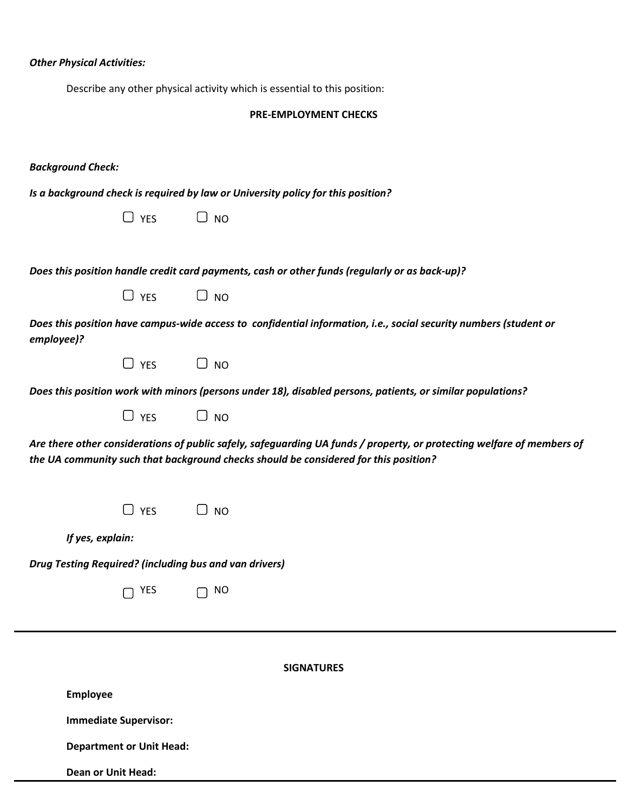| <b>Other Physical Activities:</b>                                                                                                                                                                              |                              |                                                                                                                   |  |  |  |  |  |
|----------------------------------------------------------------------------------------------------------------------------------------------------------------------------------------------------------------|------------------------------|-------------------------------------------------------------------------------------------------------------------|--|--|--|--|--|
| Describe any other physical activity which is essential to this position:                                                                                                                                      |                              |                                                                                                                   |  |  |  |  |  |
| PRE-EMPLOYMENT CHECKS                                                                                                                                                                                          |                              |                                                                                                                   |  |  |  |  |  |
|                                                                                                                                                                                                                |                              |                                                                                                                   |  |  |  |  |  |
| <b>Background Check:</b>                                                                                                                                                                                       |                              |                                                                                                                   |  |  |  |  |  |
| Is a background check is required by law or University policy for this position?                                                                                                                               |                              |                                                                                                                   |  |  |  |  |  |
|                                                                                                                                                                                                                | $\Box$ YES<br>$\Box$ NO      |                                                                                                                   |  |  |  |  |  |
|                                                                                                                                                                                                                |                              |                                                                                                                   |  |  |  |  |  |
|                                                                                                                                                                                                                |                              | Does this position handle credit card payments, cash or other funds (regularly or as back-up)?                    |  |  |  |  |  |
|                                                                                                                                                                                                                | $\Box$ YES $\Box$ NO         |                                                                                                                   |  |  |  |  |  |
| employee)?                                                                                                                                                                                                     |                              | Does this position have campus-wide access to confidential information, i.e., social security numbers (student or |  |  |  |  |  |
|                                                                                                                                                                                                                | $\Box$ YES $\Box$ NO         |                                                                                                                   |  |  |  |  |  |
| Does this position work with minors (persons under 18), disabled persons, patients, or similar populations?                                                                                                    |                              |                                                                                                                   |  |  |  |  |  |
|                                                                                                                                                                                                                | $\Box$ YES $\Box$ NO         |                                                                                                                   |  |  |  |  |  |
| Are there other considerations of public safely, safeguarding UA funds / property, or protecting welfare of members of<br>the UA community such that background checks should be considered for this position? |                              |                                                                                                                   |  |  |  |  |  |
| J YES                                                                                                                                                                                                          | <b>NO</b>                    |                                                                                                                   |  |  |  |  |  |
| If yes, explain:                                                                                                                                                                                               |                              |                                                                                                                   |  |  |  |  |  |
| <b>Drug Testing Required? (including bus and van drivers)</b>                                                                                                                                                  |                              |                                                                                                                   |  |  |  |  |  |
| YES                                                                                                                                                                                                            | <b>NO</b>                    |                                                                                                                   |  |  |  |  |  |
|                                                                                                                                                                                                                |                              |                                                                                                                   |  |  |  |  |  |
|                                                                                                                                                                                                                |                              |                                                                                                                   |  |  |  |  |  |
| <b>SIGNATURES</b>                                                                                                                                                                                              |                              |                                                                                                                   |  |  |  |  |  |
| <b>Employee</b>                                                                                                                                                                                                |                              |                                                                                                                   |  |  |  |  |  |
|                                                                                                                                                                                                                | <b>Immediate Supervisor:</b> |                                                                                                                   |  |  |  |  |  |
| <b>Department or Unit Head:</b>                                                                                                                                                                                |                              |                                                                                                                   |  |  |  |  |  |
| <b>Dean or Unit Head:</b>                                                                                                                                                                                      |                              |                                                                                                                   |  |  |  |  |  |